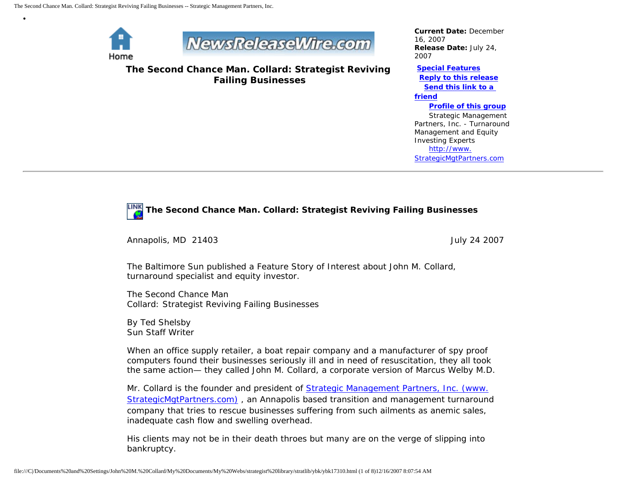

•



**The Second Chance Man. Collard: Strategist Reviving Failing Businesses**

*Current Date:* December 16, 2007 *Release Date:* July 24, 2007

**[Special Features](javascript:openlittleme() [Reply to this release](file:///C|/Documents%20and%20Settings/John%20M.%20Collard/My%20Documents/My%20Webs/strategist%20library/stratlib/ybk/default.cfm?Action=ReplyRelease&Id=17310) [Send this link to a](file:///C|/Documents%20and%20Settings/John%20M.%20Collard/My%20Documents/My%20Webs/strategist%20library/stratlib/ybk/default.cfm?Action=SendLink&SendId=17310)  [friend](file:///C|/Documents%20and%20Settings/John%20M.%20Collard/My%20Documents/My%20Webs/strategist%20library/stratlib/ybk/default.cfm?Action=SendLink&SendId=17310) [Profile of this group](file:///C|/Documents%20and%20Settings/John%20M.%20Collard/My%20Documents/My%20Webs/strategist%20library/stratlib/ybk/default.cfm?Action=Profile&ProfileId=623)**

 Strategic Management Partners, Inc. - Turnaround Management and Equity Investing Experts [http://www.](http://www.strategicmgtpartners.com/) [StrategicMgtPartners.com](http://www.strategicmgtpartners.com/)

## **The Second Chance Man. Collard: Strategist Reviving Failing Businesses**

Annapolis, MD 21403 **July 24 2007** 

The Baltimore Sun published a Feature Story of Interest about John M. Collard, turnaround specialist and equity investor.

The Second Chance Man Collard: Strategist Reviving Failing Businesses

By Ted Shelsby Sun Staff Writer

When an office supply retailer, a boat repair company and a manufacturer of spy proof computers found their businesses seriously ill and in need of resuscitation, they all took the same action— they called John M. Collard, a corporate version of Marcus Welby M.D.

Mr. Collard is the founder and president of [Strategic Management Partners, Inc. \(www.](http://www.strategicmgtpartners.com/) [StrategicMgtPartners.com\)](http://www.strategicmgtpartners.com/) , an Annapolis based transition and management turnaround company that tries to rescue businesses suffering from such ailments as anemic sales, inadequate cash flow and swelling overhead.

His clients may not be in their death throes but many are on the verge of slipping into bankruptcy.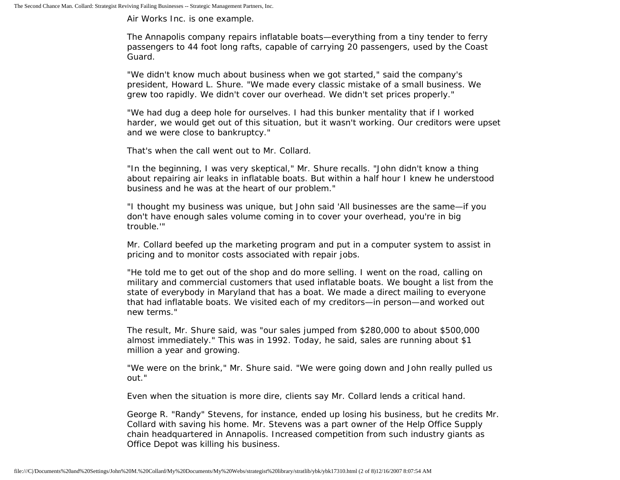Air Works Inc. is one example.

The Annapolis company repairs inflatable boats—everything from a tiny tender to ferry passengers to 44 foot long rafts, capable of carrying 20 passengers, used by the Coast Guard.

"We didn't know much about business when we got started," said the company's president, Howard L. Shure. "We made every classic mistake of a small business. We grew too rapidly. We didn't cover our overhead. We didn't set prices properly."

"We had dug a deep hole for ourselves. I had this bunker mentality that if I worked harder, we would get out of this situation, but it wasn't working. Our creditors were upset and we were close to bankruptcy."

That's when the call went out to Mr. Collard.

"In the beginning, I was very skeptical," Mr. Shure recalls. "John didn't know a thing about repairing air leaks in inflatable boats. But within a half hour I knew he understood business and he was at the heart of our problem."

"I thought my business was unique, but John said 'All businesses are the same—if you don't have enough sales volume coming in to cover your overhead, you're in big trouble.'"

Mr. Collard beefed up the marketing program and put in a computer system to assist in pricing and to monitor costs associated with repair jobs.

"He told me to get out of the shop and do more selling. I went on the road, calling on military and commercial customers that used inflatable boats. We bought a list from the state of everybody in Maryland that has a boat. We made a direct mailing to everyone that had inflatable boats. We visited each of my creditors—in person—and worked out new terms."

The result, Mr. Shure said, was "our sales jumped from \$280,000 to about \$500,000 almost immediately." This was in 1992. Today, he said, sales are running about \$1 million a year and growing.

"We were on the brink," Mr. Shure said. "We were going down and John really pulled us out."

Even when the situation is more dire, clients say Mr. Collard lends a critical hand.

George R. "Randy" Stevens, for instance, ended up losing his business, but he credits Mr. Collard with saving his home. Mr. Stevens was a part owner of the Help Office Supply chain headquartered in Annapolis. Increased competition from such industry giants as Office Depot was killing his business.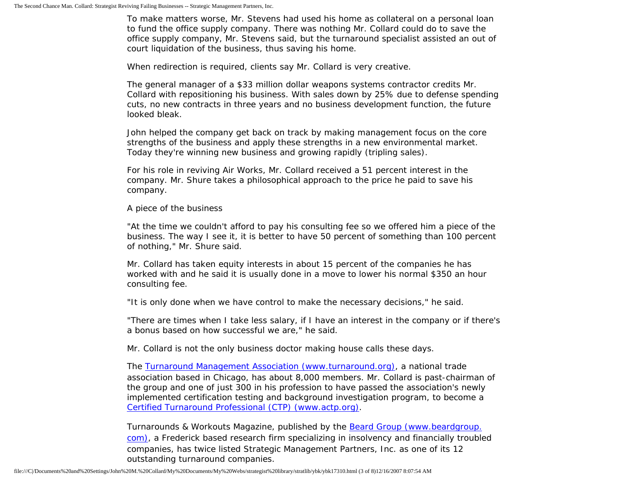To make matters worse, Mr. Stevens had used his home as collateral on a personal loan to fund the office supply company. There was nothing Mr. Collard could do to save the office supply company, Mr. Stevens said, but the turnaround specialist assisted an out of court liquidation of the business, thus saving his home.

When redirection is required, clients say Mr. Collard is very creative.

The general manager of a \$33 million dollar weapons systems contractor credits Mr. Collard with repositioning his business. With sales down by 25% due to defense spending cuts, no new contracts in three years and no business development function, the future looked bleak.

John helped the company get back on track by making management focus on the core strengths of the business and apply these strengths in a new environmental market. Today they're winning new business and growing rapidly (tripling sales).

For his role in reviving Air Works, Mr. Collard received a 51 percent interest in the company. Mr. Shure takes a philosophical approach to the price he paid to save his company.

A piece of the business

"At the time we couldn't afford to pay his consulting fee so we offered him a piece of the business. The way I see it, it is better to have 50 percent of something than 100 percent of nothing," Mr. Shure said.

Mr. Collard has taken equity interests in about 15 percent of the companies he has worked with and he said it is usually done in a move to lower his normal \$350 an hour consulting fee.

"It is only done when we have control to make the necessary decisions," he said.

"There are times when I take less salary, if I have an interest in the company or if there's a bonus based on how successful we are," he said.

Mr. Collard is not the only business doctor making house calls these days.

The [Turnaround Management Association \(www.turnaround.org\),](http://www.turnaround.org/) a national trade association based in Chicago, has about 8,000 members. Mr. Collard is past-chairman of the group and one of just 300 in his profession to have passed the association's newly implemented certification testing and background investigation program, to become a [Certified Turnaround Professional \(CTP\) \(www.actp.org\).](http://www.actp.org/)

Turnarounds & Workouts Magazine, published by the [Beard Group \(www.beardgroup.](http://www.beardgroup.com/) [com\)](http://www.beardgroup.com/), a Frederick based research firm specializing in insolvency and financially troubled companies, has twice listed Strategic Management Partners, Inc. as one of its 12 outstanding turnaround companies.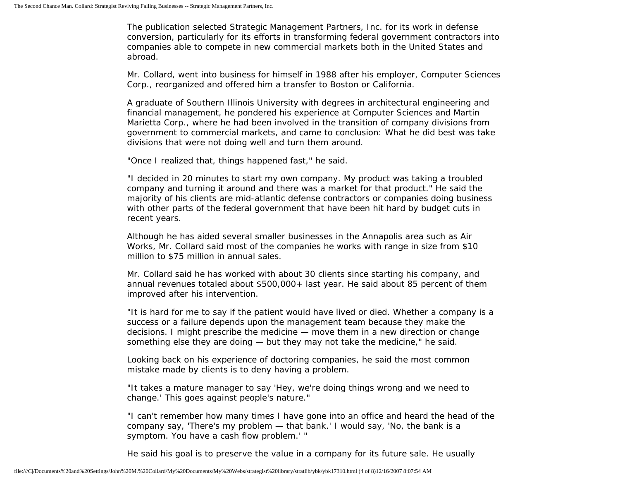The publication selected Strategic Management Partners, Inc. for its work in defense conversion, particularly for its efforts in transforming federal government contractors into companies able to compete in new commercial markets both in the United States and abroad.

Mr. Collard, went into business for himself in 1988 after his employer, Computer Sciences Corp., reorganized and offered him a transfer to Boston or California.

A graduate of Southern Illinois University with degrees in architectural engineering and financial management, he pondered his experience at Computer Sciences and Martin Marietta Corp., where he had been involved in the transition of company divisions from government to commercial markets, and came to conclusion: What he did best was take divisions that were not doing well and turn them around.

"Once I realized that, things happened fast," he said.

"I decided in 20 minutes to start my own company. My product was taking a troubled company and turning it around and there was a market for that product." He said the majority of his clients are mid-atlantic defense contractors or companies doing business with other parts of the federal government that have been hit hard by budget cuts in recent years.

Although he has aided several smaller businesses in the Annapolis area such as Air Works, Mr. Collard said most of the companies he works with range in size from \$10 million to \$75 million in annual sales.

Mr. Collard said he has worked with about 30 clients since starting his company, and annual revenues totaled about \$500,000+ last year. He said about 85 percent of them improved after his intervention.

"It is hard for me to say if the patient would have lived or died. Whether a company is a success or a failure depends upon the management team because they make the decisions. I might prescribe the medicine — move them in a new direction or change something else they are doing — but they may not take the medicine," he said.

Looking back on his experience of doctoring companies, he said the most common mistake made by clients is to deny having a problem.

"It takes a mature manager to say 'Hey, we're doing things wrong and we need to change.' This goes against people's nature."

"I can't remember how many times I have gone into an office and heard the head of the company say, 'There's my problem — that bank.' I would say, 'No, the bank is a symptom. You have a cash flow problem.' "

He said his goal is to preserve the value in a company for its future sale. He usually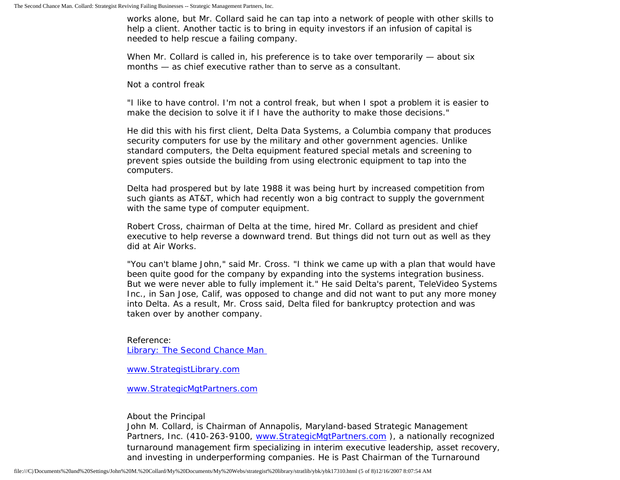works alone, but Mr. Collard said he can tap into a network of people with other skills to help a client. Another tactic is to bring in equity investors if an infusion of capital is needed to help rescue a failing company.

When Mr. Collard is called in, his preference is to take over temporarily — about six months — as chief executive rather than to serve as a consultant.

Not a control freak

"I like to have control. I'm not a control freak, but when I spot a problem it is easier to make the decision to solve it if I have the authority to make those decisions."

He did this with his first client, Delta Data Systems, a Columbia company that produces security computers for use by the military and other government agencies. Unlike standard computers, the Delta equipment featured special metals and screening to prevent spies outside the building from using electronic equipment to tap into the computers.

Delta had prospered but by late 1988 it was being hurt by increased competition from such giants as AT&T, which had recently won a big contract to supply the government with the same type of computer equipment.

Robert Cross, chairman of Delta at the time, hired Mr. Collard as president and chief executive to help reverse a downward trend. But things did not turn out as well as they did at Air Works.

"You can't blame John," said Mr. Cross. "I think we came up with a plan that would have been quite good for the company by expanding into the systems integration business. But we were never able to fully implement it." He said Delta's parent, TeleVideo Systems Inc., in San Jose, Calif, was opposed to change and did not want to put any more money into Delta. As a result, Mr. Cross said, Delta filed for bankruptcy protection and was taken over by another company.

Reference: [Library: The Second Chance Man](http://members.aol.com/jmcollard/bs.html)

[www.StrategistLibrary.com](http://www.strategistlibrary.com/)

[www.StrategicMgtPartners.com](http://www.strategicmgtpartners.com/)

About the Principal

John M. Collard, is Chairman of Annapolis, Maryland-based Strategic Management Partners, Inc. (410-263-9100, [www.StrategicMgtPartners.com](http://www.strategicmgtpartners.com/) ), a nationally recognized turnaround management firm specializing in interim executive leadership, asset recovery, and investing in underperforming companies. He is Past Chairman of the Turnaround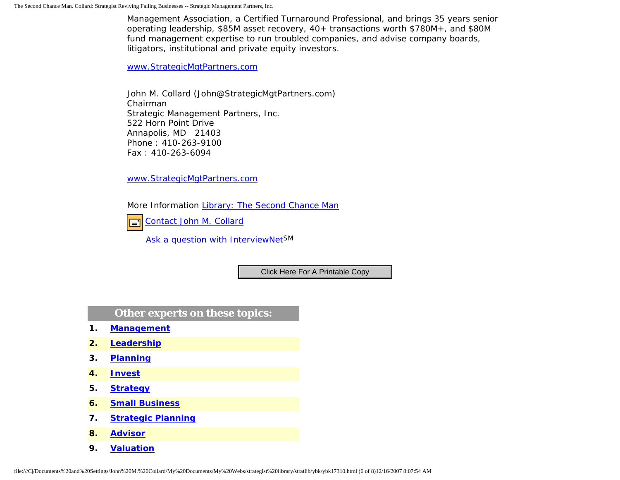Management Association, a Certified Turnaround Professional, and brings 35 years senior operating leadership, \$85M asset recovery, 40+ transactions worth \$780M+, and \$80M fund management expertise to run troubled companies, and advise company boards, litigators, institutional and private equity investors.

[www.StrategicMgtPartners.com](http://www.strategicmgtpartners.com/)

John M. Collard (John@StrategicMgtPartners.com) Chairman Strategic Management Partners, Inc. 522 Horn Point Drive Annapolis, MD 21403 Phone : 410-263-9100 Fax : 410-263-6094

[www.StrategicMgtPartners.com](http://www.strategicmgtpartners.com/)

More Information [Library: The Second Chance Man](http://members.aol.com/jmcollard/bs.html)

[Contact John M. Collard](http://www.expertclick.com/expertClick/contact/default.cfm?Action=ContactExpert&GroupID=1016) Ī.

[Ask a question with InterviewNetS](http://www.expertclick.com/expertClick/contact/default.cfm?GroupID=1016)M

**Other experts on these topics:**

- **1. [Management](http://www.expertclick.com/search/default.cfm?SearchCriteria=Management)**
- **2. [Leadership](http://www.expertclick.com/search/default.cfm?SearchCriteria=Leadership)**
- **3. [Planning](http://www.expertclick.com/search/default.cfm?SearchCriteria=Planning)**
- **4. [Invest](http://www.expertclick.com/search/default.cfm?SearchCriteria=Invest)**
- **5. [Strategy](http://www.expertclick.com/search/default.cfm?SearchCriteria=Strategy)**
- **6. [Small Business](http://www.expertclick.com/search/default.cfm?SearchCriteria=Small Business)**
- **7. [Strategic Planning](http://www.expertclick.com/search/default.cfm?SearchCriteria=Strategic Planning)**
- **8. [Advisor](http://www.expertclick.com/search/default.cfm?SearchCriteria=Advisor)**
- **9. [Valuation](http://www.expertclick.com/search/default.cfm?SearchCriteria=Valuation)**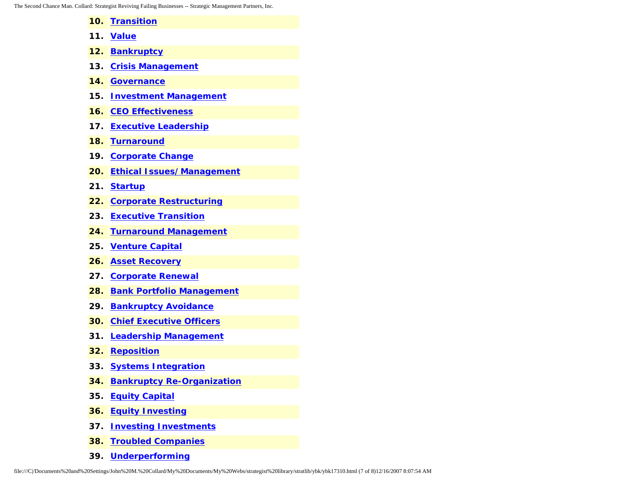The Second Chance Man. Collard: Strategist Reviving Failing Businesses -- Strategic Management Partners, Inc.

- **10. [Transition](http://www.expertclick.com/search/default.cfm?SearchCriteria=Transition) 11. [Value](http://www.expertclick.com/search/default.cfm?SearchCriteria=Value) 12. [Bankruptcy](http://www.expertclick.com/search/default.cfm?SearchCriteria=Bankruptcy) 13. [Crisis Management](http://www.expertclick.com/search/default.cfm?SearchCriteria=Crisis Management) 14. [Governance](http://www.expertclick.com/search/default.cfm?SearchCriteria=Governance) 15. [Investment Management](http://www.expertclick.com/search/default.cfm?SearchCriteria=Investment Management)**
- 
- **16. [CEO Effectiveness](http://www.expertclick.com/search/default.cfm?SearchCriteria=CEO Effectiveness)**
- **17. [Executive Leadership](http://www.expertclick.com/search/default.cfm?SearchCriteria=Executive Leadership)**
- **18. [Turnaround](http://www.expertclick.com/search/default.cfm?SearchCriteria=Turnaround)**
- **19. [Corporate Change](http://www.expertclick.com/search/default.cfm?SearchCriteria=Corporate Change)**
- **20. [Ethical Issues/Management](http://www.expertclick.com/search/default.cfm?SearchCriteria=Ethical Issues/Management)**
- **21. [Startup](http://www.expertclick.com/search/default.cfm?SearchCriteria=Startup)**
- **22. [Corporate Restructuring](http://www.expertclick.com/search/default.cfm?SearchCriteria=Corporate Restructuring)**
- **23. [Executive Transition](http://www.expertclick.com/search/default.cfm?SearchCriteria=Executive Transition)**
- **24. [Turnaround Management](http://www.expertclick.com/search/default.cfm?SearchCriteria=Turnaround Management)**
- **25. [Venture Capital](http://www.expertclick.com/search/default.cfm?SearchCriteria=Venture Capital)**
- **26. [Asset Recovery](http://www.expertclick.com/search/default.cfm?SearchCriteria=Asset Recovery)**
- **27. [Corporate Renewal](http://www.expertclick.com/search/default.cfm?SearchCriteria=Corporate Renewal)**
- **28. [Bank Portfolio Management](http://www.expertclick.com/search/default.cfm?SearchCriteria=Bank Portfolio Management)**
- **29. [Bankruptcy Avoidance](http://www.expertclick.com/search/default.cfm?SearchCriteria=Bankruptcy Avoidance)**
- **30. [Chief Executive Officers](http://www.expertclick.com/search/default.cfm?SearchCriteria=Chief Executive Officers)**
- **31. [Leadership Management](http://www.expertclick.com/search/default.cfm?SearchCriteria=Leadership Management)**
- **32. [Reposition](http://www.expertclick.com/search/default.cfm?SearchCriteria=Reposition)**
- **33. [Systems Integration](http://www.expertclick.com/search/default.cfm?SearchCriteria=Systems Integration)**
- **34. [Bankruptcy Re-Organization](http://www.expertclick.com/search/default.cfm?SearchCriteria=Bankruptcy Re-Organization)**
- **35. [Equity Capital](http://www.expertclick.com/search/default.cfm?SearchCriteria=Equity Capital)**
- **36. [Equity Investing](http://www.expertclick.com/search/default.cfm?SearchCriteria=Equity Investing)**
- **37. [Investing Investments](http://www.expertclick.com/search/default.cfm?SearchCriteria=Investing Investments)**
- **38. [Troubled Companies](http://www.expertclick.com/search/default.cfm?SearchCriteria=Troubled Companies)**
- **39. [Underperforming](http://www.expertclick.com/search/default.cfm?SearchCriteria=Underperforming)**